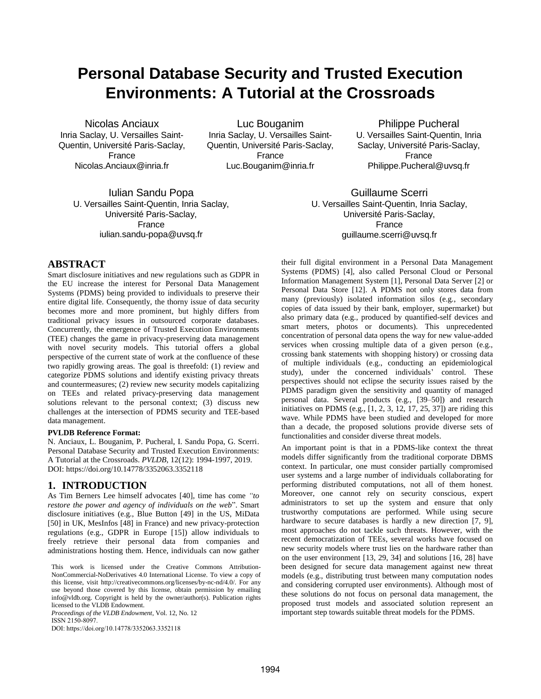# **Personal Database Security and Trusted Execution Environments: A Tutorial at the Crossroads**

Nicolas Anciaux Inria Saclay, U. Versailles Saint-Quentin, Université Paris-Saclay, France Nicolas.Anciaux@inria.fr

Luc Bouganim Inria Saclay, U. Versailles Saint-Quentin, Université Paris-Saclay, France Luc.Bouganim@inria.fr

Philippe Pucheral U. Versailles Saint-Quentin, Inria Saclay, Université Paris-Saclay, France Philippe.Pucheral@uvsq.fr

Iulian Sandu Popa U. Versailles Saint-Quentin, Inria Saclay, Université Paris-Saclay, France iulian.sandu-popa@uvsq.fr

Guillaume Scerri U. Versailles Saint-Quentin, Inria Saclay, Université Paris-Saclay, France guillaume.scerri@uvsq.fr

## **ABSTRACT**

Smart disclosure initiatives and new regulations such as GDPR in the EU increase the interest for Personal Data Management Systems (PDMS) being provided to individuals to preserve their entire digital life. Consequently, the thorny issue of data security becomes more and more prominent, but highly differs from traditional privacy issues in outsourced corporate databases. Concurrently, the emergence of Trusted Execution Environments (TEE) changes the game in privacy-preserving data management with novel security models. This tutorial offers a global perspective of the current state of work at the confluence of these two rapidly growing areas. The goal is threefold: (1) review and categorize PDMS solutions and identify existing privacy threats and countermeasures; (2) review new security models capitalizing on TEEs and related privacy-preserving data management solutions relevant to the personal context; (3) discuss new challenges at the intersection of PDMS security and TEE-based data management.

#### **PVLDB Reference Format:**

N. Anciaux, L. Bouganim, P. Pucheral, I. Sandu Popa, G. Scerri. Personal Database Security and Trusted Execution Environments: A Tutorial at the Crossroads. *PVLDB*, 12(12): 1994-1997, 2019. DOI: https://doi.org/10.14778/3352063.3352118

#### **1. INTRODUCTION**

As Tim Berners Lee himself advocates [40], time has come *"to restore the power and agency of individuals on the web*". Smart disclosure initiatives (e.g., Blue Button [49] in the US, MiData [50] in UK, MesInfos [48] in France) and new privacy-protection regulations (e.g., GDPR in Europe [15]) allow individuals to freely retrieve their personal data from companies and administrations hosting them. Hence, individuals can now gather

*Proceedings of the VLDB Endowment,* Vol. 12, No. 12 ISSN 2150-8097.

DOI: https://doi.org/10.14778/3352063.3352118

their full digital environment in a Personal Data Management Systems (PDMS) [4], also called Personal Cloud or Personal Information Management System [1], Personal Data Server [2] or Personal Data Store [12]. A PDMS not only stores data from many (previously) isolated information silos (e.g., secondary copies of data issued by their bank, employer, supermarket) but also primary data (e.g., produced by quantified-self devices and smart meters, photos or documents). This unprecedented concentration of personal data opens the way for new value-added services when crossing multiple data of a given person (e.g., crossing bank statements with shopping history) or crossing data of multiple individuals (e.g., conducting an epidemiological study), under the concerned individuals' control. These perspectives should not eclipse the security issues raised by the PDMS paradigm given the sensitivity and quantity of managed personal data. Several products (e.g., [39–50]) and research initiatives on PDMS (e.g.,  $[1, 2, 3, 12, 17, 25, 37]$ ) are riding this wave. While PDMS have been studied and developed for more than a decade, the proposed solutions provide diverse sets of functionalities and consider diverse threat models.

An important point is that in a PDMS-like context the threat models differ significantly from the traditional corporate DBMS context. In particular, one must consider partially compromised user systems and a large number of individuals collaborating for performing distributed computations, not all of them honest. Moreover, one cannot rely on security conscious, expert administrators to set up the system and ensure that only trustworthy computations are performed. While using secure hardware to secure databases is hardly a new direction [7, 9], most approaches do not tackle such threats. However, with the recent democratization of TEEs, several works have focused on new security models where trust lies on the hardware rather than on the user environment [13, 29, 34] and solutions [16, 28] have been designed for secure data management against new threat models (e.g., distributing trust between many computation nodes and considering corrupted user environments). Although most of these solutions do not focus on personal data management, the proposed trust models and associated solution represent an important step towards suitable threat models for the PDMS.

This work is licensed under the Creative Commons Attribution-NonCommercial-NoDerivatives 4.0 International License. To view a copy of this license, visit http://creativecommons.org/licenses/by-nc-nd/4.0/. For any use beyond those covered by this license, obtain permission by emailing info@vldb.org. Copyright is held by the owner/author(s). Publication rights licensed to the VLDB Endowment.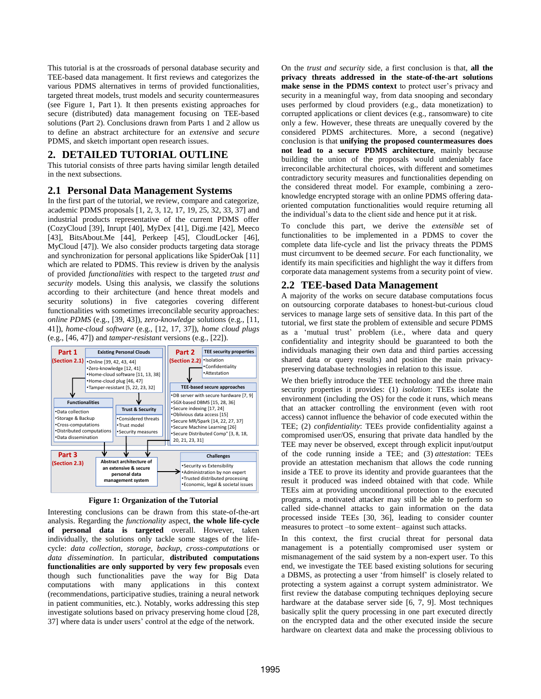This tutorial is at the crossroads of personal database security and TEE-based data management. It first reviews and categorizes the various PDMS alternatives in terms of provided functionalities, targeted threat models, trust models and security countermeasures (see Figure 1, Part 1). It then presents existing approaches for secure (distributed) data management focusing on TEE-based solutions (Part 2). Conclusions drawn from Parts 1 and 2 allow us to define an abstract architecture for an *extensive* and *secure* PDMS, and sketch important open research issues.

## **2. DETAILED TUTORIAL OUTLINE**

This tutorial consists of three parts having similar length detailed in the next subsections.

## **2.1 Personal Data Management Systems**

In the first part of the tutorial, we review, compare and categorize, academic PDMS proposals [1, 2, 3, 12, 17, 19, 25, 32, 33, 37] and industrial products representative of the current PDMS offer (CozyCloud [39], Inrupt [40], MyDex [41], Digi.me [42], Meeco [43], BitsAbout.Me [44], Perkeep [45], CloudLocker [46], MyCloud [47]). We also consider products targeting data storage and synchronization for personal applications like SpiderOak [11] which are related to PDMS. This review is driven by the analysis of provided *functionalities* with respect to the targeted *trust and security* models. Using this analysis, we classify the solutions according to their architecture (and hence threat models and security solutions) in five categories covering different functionalities with sometimes irreconcilable security approaches: *online PDMS* (e.g., [39, 43]), *zero-knowledge* solutions (e.g., [11, 41]), *home-cloud software* (e.g., [12, 17, 37]), *home cloud plugs* (e.g., [46, 47]) and *tamper-resistant* versions (e.g., [22]).



**Figure 1: Organization of the Tutorial**

Interesting conclusions can be drawn from this state-of-the-art analysis. Regarding the *functionality* aspect, **the whole life-cycle of personal data is targeted** overall. However, taken individually, the solutions only tackle some stages of the lifecycle: *data collection*, *storage*, *backup*, *cross*-*computations* or *data dissemination*. In particular, **distributed computations functionalities are only supported by very few proposals** even though such functionalities pave the way for Big Data computations with many applications in this context (recommendations, participative studies, training a neural network in patient communities, etc.). Notably, works addressing this step investigate solutions based on privacy preserving home cloud [28, 37] where data is under users' control at the edge of the network.

On the *trust and security* side, a first conclusion is that, **all the privacy threats addressed in the state-of-the-art solutions make sense in the PDMS context** to protect user's privacy and security in a meaningful way, from data snooping and secondary uses performed by cloud providers (e.g., data monetization) to corrupted applications or client devices (e.g., ransomware) to cite only a few. However, these threats are unequally covered by the considered PDMS architectures. More, a second (negative) conclusion is that **unifying the proposed countermeasures does not lead to a secure PDMS architecture**, mainly because building the union of the proposals would undeniably face irreconcilable architectural choices, with different and sometimes contradictory security measures and functionalities depending on the considered threat model. For example, combining a zeroknowledge encrypted storage with an online PDMS offering dataoriented computation functionalities would require returning all the individual's data to the client side and hence put it at risk.

To conclude this part, we derive the *extensible* set of functionalities to be implemented in a PDMS to cover the complete data life-cycle and list the privacy threats the PDMS must circumvent to be deemed *secure*. For each functionality, we identify its main specificities and highlight the way it differs from corporate data management systems from a security point of view.

## **2.2 TEE-based Data Management**

A majority of the works on secure database computations focus on outsourcing corporate databases to honest-but-curious cloud services to manage large sets of sensitive data. In this part of the tutorial, we first state the problem of extensible and secure PDMS as a 'mutual trust' problem (i.e., where data and query confidentiality and integrity should be guaranteed to both the individuals managing their own data and third parties accessing shared data or query results) and position the main privacypreserving database technologies in relation to this issue.

We then briefly introduce the TEE technology and the three main security properties it provides: (1) *isolation*: TEEs isolate the environment (including the OS) for the code it runs, which means that an attacker controlling the environment (even with root access) cannot influence the behavior of code executed within the TEE; (2) *confidentiality*: TEEs provide confidentiality against a compromised user/OS, ensuring that private data handled by the TEE may never be observed, except through explicit input/output of the code running inside a TEE; and (3) *attestation*: TEEs provide an attestation mechanism that allows the code running inside a TEE to prove its identity and provide guarantees that the result it produced was indeed obtained with that code. While TEEs aim at providing unconditional protection to the executed programs, a motivated attacker may still be able to perform so called side-channel attacks to gain information on the data processed inside TEEs [30, 36], leading to consider counter measures to protect –to some extent– against such attacks.

In this context, the first crucial threat for personal data management is a potentially compromised user system or mismanagement of the said system by a non-expert user. To this end, we investigate the TEE based existing solutions for securing a DBMS, as protecting a user 'from himself' is closely related to protecting a system against a corrupt system administrator. We first review the database computing techniques deploying secure hardware at the database server side [6, 7, 9]. Most techniques basically split the query processing in one part executed directly on the encrypted data and the other executed inside the secure hardware on cleartext data and make the processing oblivious to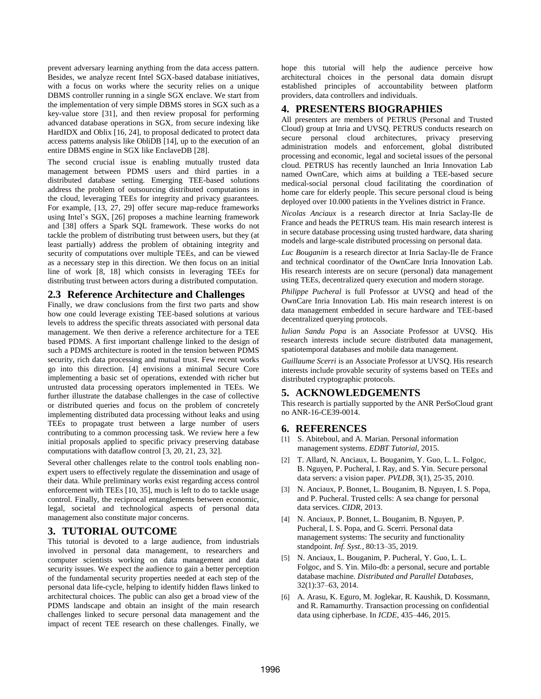prevent adversary learning anything from the data access pattern. Besides, we analyze recent Intel SGX-based database initiatives, with a focus on works where the security relies on a unique DBMS controller running in a single SGX enclave. We start from the implementation of very simple DBMS stores in SGX such as a key-value store [31], and then review proposal for performing advanced database operations in SGX, from secure indexing like HardIDX and Oblix [16, 24], to proposal dedicated to protect data access patterns analysis like ObliDB [14], up to the execution of an entire DBMS engine in SGX like EnclaveDB [28].

The second crucial issue is enabling mutually trusted data management between PDMS users and third parties in a distributed database setting. Emerging TEE-based solutions address the problem of outsourcing distributed computations in the cloud, leveraging TEEs for integrity and privacy guarantees. For example, [13, 27, 29] offer secure map-reduce frameworks using Intel's SGX, [26] proposes a machine learning framework and [38] offers a Spark SQL framework. These works do not tackle the problem of distributing trust between users, but they (at least partially) address the problem of obtaining integrity and security of computations over multiple TEEs, and can be viewed as a necessary step in this direction. We then focus on an initial line of work [8, 18] which consists in leveraging TEEs for distributing trust between actors during a distributed computation.

## **2.3 Reference Architecture and Challenges**

Finally, we draw conclusions from the first two parts and show how one could leverage existing TEE-based solutions at various levels to address the specific threats associated with personal data management. We then derive a reference architecture for a TEE based PDMS. A first important challenge linked to the design of such a PDMS architecture is rooted in the tension between PDMS security, rich data processing and mutual trust. Few recent works go into this direction. [4] envisions a minimal Secure Core implementing a basic set of operations, extended with richer but untrusted data processing operators implemented in TEEs. We further illustrate the database challenges in the case of collective or distributed queries and focus on the problem of concretely implementing distributed data processing without leaks and using TEEs to propagate trust between a large number of users contributing to a common processing task. We review here a few initial proposals applied to specific privacy preserving database computations with dataflow control [3, 20, 21, 23, 32].

Several other challenges relate to the control tools enabling nonexpert users to effectively regulate the dissemination and usage of their data. While preliminary works exist regarding access control enforcement with TEEs [10, 35], much is left to do to tackle usage control. Finally, the reciprocal entanglements between economic, legal, societal and technological aspects of personal data management also constitute major concerns.

## **3. TUTORIAL OUTCOME**

This tutorial is devoted to a large audience, from industrials involved in personal data management, to researchers and computer scientists working on data management and data security issues. We expect the audience to gain a better perception of the fundamental security properties needed at each step of the personal data life-cycle, helping to identify hidden flaws linked to architectural choices. The public can also get a broad view of the PDMS landscape and obtain an insight of the main research challenges linked to secure personal data management and the impact of recent TEE research on these challenges. Finally, we hope this tutorial will help the audience perceive how architectural choices in the personal data domain disrupt established principles of accountability between platform providers, data controllers and individuals.

## **4. PRESENTERS BIOGRAPHIES**

All presenters are members of PETRUS (Personal and Trusted Cloud) group at Inria and UVSQ. PETRUS conducts research on secure personal cloud architectures, privacy preserving administration models and enforcement, global distributed processing and economic, legal and societal issues of the personal cloud. PETRUS has recently launched an Inria Innovation Lab named OwnCare, which aims at building a TEE-based secure medical-social personal cloud facilitating the coordination of home care for elderly people. This secure personal cloud is being deployed over 10.000 patients in the Yvelines district in France.

*Nicolas Anciaux* is a research director at Inria Saclay-Ile de France and heads the PETRUS team. His main research interest is in secure database processing using trusted hardware, data sharing models and large-scale distributed processing on personal data.

*Luc Bouganim* is a research director at Inria Saclay-Ile de France and technical coordinator of the OwnCare Inria Innovation Lab. His research interests are on secure (personal) data management using TEEs, decentralized query execution and modern storage.

*Philippe Pucheral* is full Professor at UVSQ and head of the OwnCare Inria Innovation Lab. His main research interest is on data management embedded in secure hardware and TEE-based decentralized querying protocols.

*Iulian Sandu Popa* is an Associate Professor at UVSQ. His research interests include secure distributed data management, spatiotemporal databases and mobile data management.

*Guillaume Scerri* is an Associate Professor at UVSQ. His research interests include provable security of systems based on TEEs and distributed cryptographic protocols.

#### **5. ACKNOWLEDGEMENTS**

This research is partially supported by the ANR PerSoCloud grant no ANR-16-CE39-0014.

#### **6. REFERENCES**

- [1] S. Abiteboul, and A. Marian. Personal information management systems. *EDBT Tutorial*, 2015.
- [2] T. Allard, N. Anciaux, L. Bouganim, Y. Guo, L. L. Folgoc, B. Nguyen, P. Pucheral, I. Ray, and S. Yin. Secure personal data servers: a vision paper. *PVLDB*, 3(1), 25-35, 2010.
- [3] N. Anciaux, P. Bonnet, L. Bouganim, B. Nguyen, I. S. Popa, and P. Pucheral. Trusted cells: A sea change for personal data services. *CIDR*, 2013.
- [4] N. Anciaux, P. Bonnet, L. Bouganim, B. Nguyen, P. Pucheral, I. S. Popa, and G. Scerri. Personal data management systems: The security and functionality standpoint. *Inf. Syst.*, 80:13–35, 2019.
- [5] N. Anciaux, L. Bouganim, P. Pucheral, Y. Guo, L. L. Folgoc, and S. Yin. Milo-db: a personal, secure and portable database machine. *Distributed and Parallel Databases*, 32(1):37–63, 2014.
- [6] A. Arasu, K. Eguro, M. Joglekar, R. Kaushik, D. Kossmann, and R. Ramamurthy. Transaction processing on confidential data using cipherbase. In *ICDE*, 435–446, 2015.